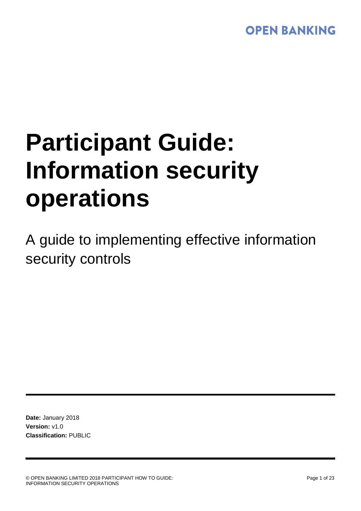# **OPEN BANKING**

# **Participant Guide: Information security operations**

A guide to implementing effective information security controls

**Date:** January 2018 **Version:** v1.0 **Classification:** PUBLIC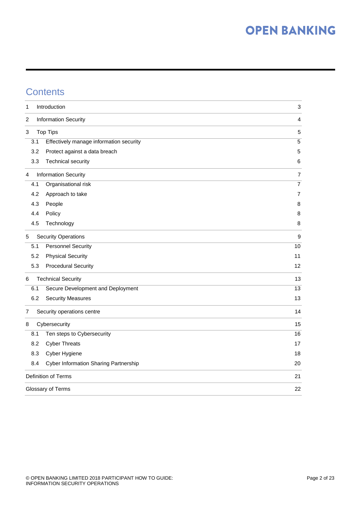## **Contents**

| 1                   |     | Introduction                            | $\ensuremath{\mathsf{3}}$ |  |
|---------------------|-----|-----------------------------------------|---------------------------|--|
| 2                   |     | <b>Information Security</b>             | 4                         |  |
| 3                   |     | <b>Top Tips</b>                         | 5                         |  |
|                     | 3.1 | Effectively manage information security | $\sqrt{5}$                |  |
|                     | 3.2 | Protect against a data breach           | 5                         |  |
|                     | 3.3 | <b>Technical security</b>               | 6                         |  |
| 4                   |     | <b>Information Security</b>             | $\overline{7}$            |  |
|                     | 4.1 | Organisational risk                     | $\overline{7}$            |  |
|                     | 4.2 | Approach to take                        | 7                         |  |
|                     | 4.3 | People                                  | 8                         |  |
|                     | 4.4 | Policy                                  | 8                         |  |
|                     | 4.5 | Technology                              | 8                         |  |
| 5                   |     | <b>Security Operations</b>              | $\boldsymbol{9}$          |  |
|                     | 5.1 | <b>Personnel Security</b>               | 10                        |  |
|                     | 5.2 | <b>Physical Security</b>                | 11                        |  |
|                     | 5.3 | <b>Procedural Security</b>              | 12                        |  |
| 6                   |     | <b>Technical Security</b>               | 13                        |  |
|                     | 6.1 | Secure Development and Deployment       | 13                        |  |
|                     | 6.2 | <b>Security Measures</b>                | 13                        |  |
| 7                   |     | Security operations centre              | 14                        |  |
| 8                   |     | Cybersecurity                           | 15                        |  |
|                     | 8.1 | Ten steps to Cybersecurity              | 16                        |  |
|                     | 8.2 | <b>Cyber Threats</b>                    | 17                        |  |
|                     | 8.3 | Cyber Hygiene                           | 18                        |  |
|                     | 8.4 | Cyber Information Sharing Partnership   | 20                        |  |
| Definition of Terms |     |                                         |                           |  |
| Glossary of Terms   |     |                                         |                           |  |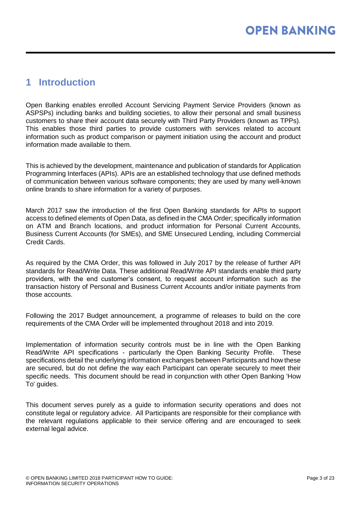## <span id="page-2-0"></span>**1 Introduction**

Open Banking enables enrolled Account Servicing Payment Service Providers (known as ASPSPs) including banks and building societies, to allow their personal and small business customers to share their account data securely with Third Party Providers (known as TPPs). This enables those third parties to provide customers with services related to account information such as product comparison or payment initiation using the account and product information made available to them.

This is achieved by the development, maintenance and publication of standards for Application Programming Interfaces (APIs). APIs are an established technology that use defined methods of communication between various software components; they are used by many well-known online brands to share information for a variety of purposes.

March 2017 saw the introduction of the first Open Banking standards for APIs to support access to defined elements of Open Data, as defined in the CMA Order; specifically information on ATM and Branch locations, and product information for Personal Current Accounts, Business Current Accounts (for SMEs), and SME Unsecured Lending, including Commercial Credit Cards.

As required by the CMA Order, this was followed in July 2017 by the release of further API standards for Read/Write Data. These additional Read/Write API standards enable third party providers, with the end customer's consent, to request account information such as the transaction history of Personal and Business Current Accounts and/or initiate payments from those accounts.

Following the 2017 Budget announcement, a programme of releases to build on the core requirements of the CMA Order will be implemented throughout 2018 and into 2019.

Implementation of information security controls must be in line with the Open Banking Read/Write API specifications - particularly the [Open Banking Security Profile.](https://openbanking.atlassian.net/wiki/download/attachments/29720644/Security%20Concepts%20&%20Relationships.jpg?version=1&modificationDate=1513947780455&cacheVersion=1&api=v2) These specifications detail the underlying information exchanges between Participants and how these are secured, but do not define the way each Participant can operate securely to meet their specific needs. This document should be read in conjunction with other Open Banking 'How To' guides.

This document serves purely as a guide to information security operations and does not constitute legal or regulatory advice. All Participants are responsible for their compliance with the relevant regulations applicable to their service offering and are encouraged to seek external legal advice.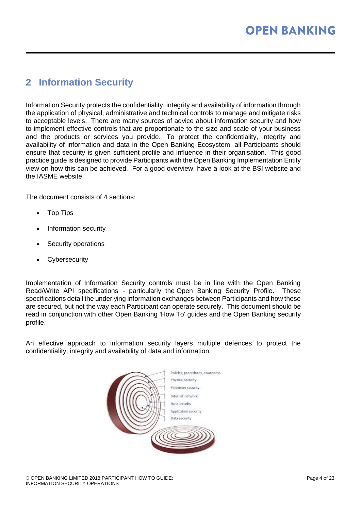## <span id="page-3-0"></span>**2 Information Security**

Information Security protects the confidentiality, integrity and availability of information through the application of physical, administrative and technical controls to manage and mitigate risks to acceptable levels. There are many sources of advice about information security and how to implement effective controls that are proportionate to the size and scale of your business and the products or services you provide. To protect the confidentiality, integrity and availability of information and data in the Open Banking Ecosystem, all Participants should ensure that security is given sufficient profile and influence in their organisation. This good practice guide is designed to provide Participants with the Open Banking Implementation Entity view on how this can be achieved. For a good overview, have a look at the [BSI website](https://openbanking.atlassian.net/wiki/download/attachments/29720644/Security%20Concepts%20&%20Relationships.jpg?version=1&modificationDate=1513947780455&cacheVersion=1&api=v2) and the [IASME website.](https://openbanking.atlassian.net/wiki/download/attachments/29720644/Security%20Concepts%20&%20Relationships.jpg?version=1&modificationDate=1513947780455&cacheVersion=1&api=v2)

The document consists of 4 sections:

- Top Tips
- Information security
- Security operations
- **Cybersecurity**

Implementation of Information Security controls must be in line with the Open Banking Read/Write API specifications - particularly the [Open Banking Security Profile.](https://openbanking.atlassian.net/wiki/download/attachments/29720644/Security%20Concepts%20&%20Relationships.jpg?version=1&modificationDate=1513947780455&cacheVersion=1&api=v2) These specifications detail the underlying information exchanges between Participants and how these are secured, but not the way each Participant can operate securely. This document should be read in conjunction with other [Open Banking 'How To' guides](https://openbanking.atlassian.net/wiki/download/attachments/29720644/Security%20Concepts%20&%20Relationships.jpg?version=1&modificationDate=1513947780455&cacheVersion=1&api=v2) and the Open Banking security profile.

An effective approach to information security layers multiple defences to protect the confidentiality, integrity and availability of data and information.

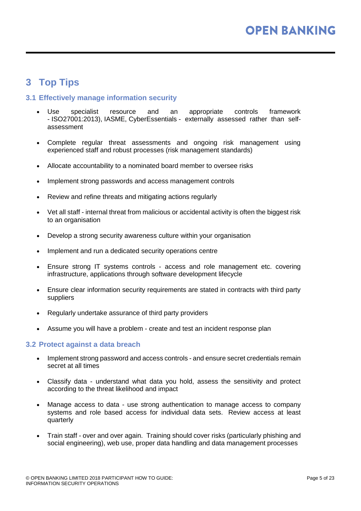## <span id="page-4-0"></span>**3 Top Tips**

#### <span id="page-4-1"></span>**3.1 Effectively manage information security**

- Use specialist resource and an appropriate controls framework - [ISO27001:2013\)](https://www.iso.org/isoiec-27001-information-security.html), IASME, CyberEssentials - externally assessed rather than selfassessment
- Complete regular threat assessments and ongoing risk management using experienced staff and robust processes [\(risk management standards\)](https://www.theirm.org/about/professional-standards-in-risk-management.aspx)
- Allocate accountability to a nominated board member to oversee risks
- Implement [strong passwords](https://www.nist.gov/video/password-guidance-nist-0) and [access management controls](https://www.itgovernance.co.uk/access-control-and-administrative-privilege)
- Review and refine threats and mitigating actions regularly
- Vet all staff internal threat from malicious or accidental activity is often the biggest risk to an organisation
- Develop a strong security awareness culture within your organisation
- Implement and run a dedicated security operations centre
- Ensure strong IT systems controls access and role management etc. covering infrastructure, applications through software development lifecycle
- Ensure clear information security requirements are stated in contracts with third party suppliers
- Regularly undertake assurance of third party providers
- Assume you will have a problem create and test an incident response plan

#### <span id="page-4-2"></span>**3.2 Protect against a data breach**

- Implement strong password and access controls and ensure secret credentials remain secret at all times
- Classify data understand what data you hold, assess the sensitivity and protect according to the threat likelihood and impact
- Manage access to data use strong authentication to manage access to company systems and role based access for individual data sets. Review access at least quarterly
- Train staff over and over again. Training should cover risks (particularly phishing and social engineering), web use, proper data handling and data management processes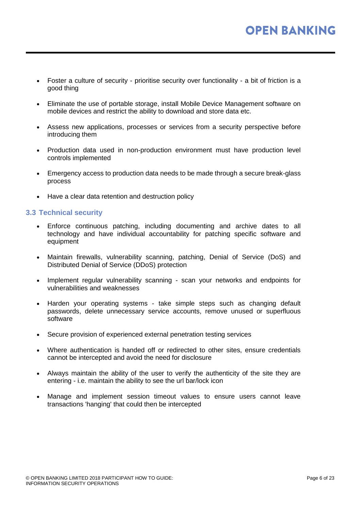- Foster a culture of security prioritise security over functionality a bit of friction is a good thing
- Eliminate the use of portable storage, install Mobile Device Management software on mobile devices and restrict the ability to download and store data etc.
- Assess new applications, processes or services from a security perspective before introducing them
- Production data used in non-production environment must have production level controls implemented
- Emergency access to production data needs to be made through a secure break-glass process
- Have a clear data retention and destruction policy

#### <span id="page-5-0"></span>**3.3 Technical security**

- Enforce continuous patching, including documenting and archive dates to all technology and have individual accountability for patching specific software and equipment
- Maintain firewalls, vulnerability scanning, patching, Denial of Service (DoS) and Distributed Denial of Service (DDoS) protection
- Implement regular vulnerability scanning scan your networks and endpoints for vulnerabilities and weaknesses
- Harden your operating systems take simple steps such as changing default passwords, delete unnecessary service accounts, remove unused or superfluous software
- Secure provision of experienced external penetration testing services
- Where authentication is handed off or redirected to other sites, ensure credentials cannot be intercepted and avoid the need for disclosure
- Always maintain the ability of the user to verify the authenticity of the site they are entering - i.e. maintain the ability to see the url bar/lock icon
- Manage and implement session timeout values to ensure users cannot leave transactions 'hanging' that could then be intercepted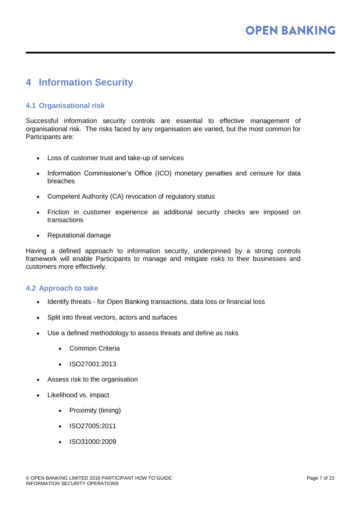## <span id="page-6-0"></span>**4 Information Security**

#### <span id="page-6-1"></span>**4.1 Organisational risk**

Successful information security controls are essential to effective management of organisational risk. The risks faced by any organisation are varied, but the most common for Participants are:

- Loss of customer trust and take-up of services
- Information Commissioner's Office (ICO) monetary penalties and censure for data breaches
- Competent Authority (CA) revocation of regulatory status
- Friction in customer experience as additional security checks are imposed on transactions
- Reputational damage

Having a defined approach to information security, underpinned by a strong controls framework will enable Participants to manage and mitigate risks to their businesses and customers more effectively.

#### <span id="page-6-2"></span>**4.2 Approach to take**

- Identify threats for Open Banking transactions, data loss or financial loss
- Split into threat vectors, actors and surfaces
- Use a defined methodology to assess threats and define as risks
	- [Common Criteria](https://www.commoncriteriaportal.org/)
	- [ISO27001:2013](https://www.iso.org/isoiec-27001-information-security.html)
- Assess risk to the organisation
- Likelihood vs. impact
	- Proximity (timing)
	- ISO27005:2011
	- [ISO31000:2009](https://www.iso.org/iso-31000-risk-management.html)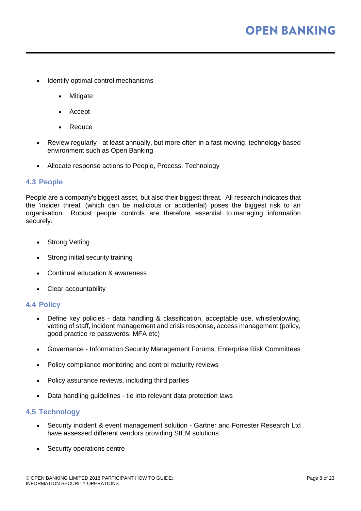- Identify optimal control mechanisms
	- **Mitigate**
	- Accept
	- Reduce
- Review regularly at least annually, but more often in a fast moving, technology based environment such as Open Banking
- Allocate response actions to People, Process, Technology

#### <span id="page-7-0"></span>**4.3 People**

People are a company's biggest asset, but also their biggest threat. All research indicates that the 'insider threat' (which can be malicious or accidental) poses the biggest risk to an organisation. Robust people controls are therefore essential to managing information securely.

- Strong Vetting
- Strong initial security training
- Continual education & awareness
- Clear accountability

#### <span id="page-7-1"></span>**4.4 Policy**

- Define key policies data handling & classification, acceptable use, whistleblowing, vetting of staff, incident management and crisis response, access management (policy, good practice re passwords, MFA etc)
- Governance Information Security Management Forums, Enterprise Risk Committees
- Policy compliance monitoring and control maturity reviews
- Policy assurance reviews, including third parties
- Data handling guidelines tie into relevant data protection laws

#### <span id="page-7-2"></span>**4.5 Technology**

- Security incident & event management solution Gartner and Forrester Research Ltd have assessed different vendors providing SIEM solutions
- Security operations centre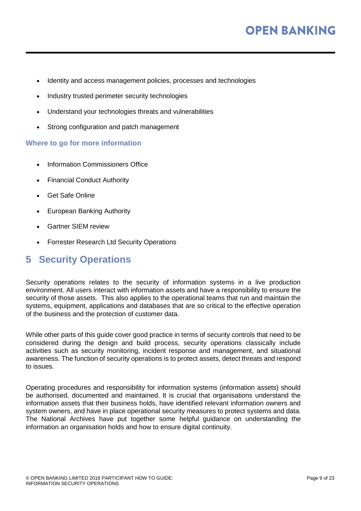- Identity and access management policies, processes and technologies
- Industry trusted perimeter security technologies
- Understand your technologies threats and vulnerabilities
- Strong configuration and patch management

#### **Where to go for more information**

- [Information Commissioners Office](https://ico.org.uk/for-organisations/)
- [Financial Conduct Authority](https://www.fca.org.uk/firms/revised-payment-services-directive-psd2)
- [Get Safe Online](https://www.getsafeonline.org/information-security/)
- [European Banking Authority](https://www.eba.europa.eu/regulation-and-policy/payment-services-and-electronic-money)
- [Gartner SIEM review](https://www.gartner.com/reviews/market/security-information-event-management)
- [Forrester Research Ltd Security Operations](https://www.forrester.com/playbook/The+Security+Architecture+And+Operations+Playbook+For+2018/-/E-PLA300)

### <span id="page-8-0"></span>**5 Security Operations**

Security operations relates to the security of information systems in a live production environment. All users interact with information assets and have a responsibility to ensure the security of those assets. This also applies to the operational teams that run and maintain the systems, equipment, applications and databases that are so critical to the effective operation of the business and the protection of customer data.

While other parts of this guide cover good practice in terms of security controls that need to be considered during the design and build process, security operations classically include activities such as security monitoring, incident response and management, and situational awareness. The function of security operations is to protect assets, detect threats and respond to issues.

Operating procedures and responsibility for information systems (information assets) should be authorised, documented and maintained. It is crucial that organisations understand the information assets that their business holds, have identified relevant information owners and system owners, and have in place operational security measures to protect systems and data. The National Archives have put together some [helpful guidance](http://www.nationalarchives.gov.uk/documents/information-management/identify-information-assets.pdf) on understanding the information an organisation holds and how to ensure digital continuity.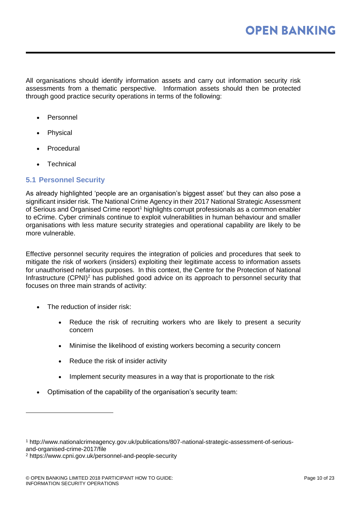All organisations should identify information assets and carry out information security risk assessments from a thematic perspective. Information assets should then be protected through good practice security operations in terms of the following:

- **Personnel**
- **Physical**
- **Procedural**
- **Technical**

#### <span id="page-9-0"></span>**5.1 Personnel Security**

As already highlighted 'people are an organisation's biggest asset' but they can also pose a significant insider risk. The National Crime Agency in their 2017 National Strategic Assessment of Serious and Organised Crime report<sup>1</sup> highlights corrupt professionals as a common enabler to eCrime. Cyber criminals continue to exploit vulnerabilities in human behaviour and smaller organisations with less mature security strategies and operational capability are likely to be more vulnerable.

Effective personnel security requires the integration of policies and procedures that seek to mitigate the risk of workers (insiders) exploiting their legitimate access to information assets for unauthorised nefarious purposes. In this context, the Centre for the Protection of National Infrastructure (CPNI)<sup>2</sup> has published good advice on its approach to personnel security that focuses on three main strands of activity:

The reduction of insider risk:

l

- Reduce the risk of recruiting workers who are likely to present a security concern
- Minimise the likelihood of existing workers becoming a security concern
- Reduce the risk of insider activity
- Implement security measures in a way that is proportionate to the risk
- Optimisation of the capability of the organisation's security team:

<sup>1</sup> http://www.nationalcrimeagency.gov.uk/publications/807-national-strategic-assessment-of-seriousand-organised-crime-2017/file

<sup>2</sup> https://www.cpni.gov.uk/personnel-and-people-security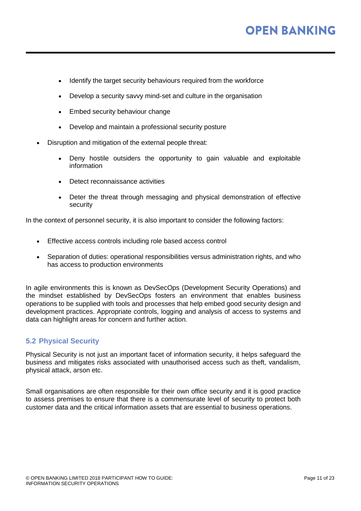- Identify the target security behaviours required from the workforce
- Develop a security savvy mind-set and culture in the organisation
- Embed security behaviour change
- Develop and maintain a professional security posture
- Disruption and mitigation of the external people threat:
	- Deny hostile outsiders the opportunity to gain valuable and exploitable information
	- Detect reconnaissance activities
	- Deter the threat through messaging and physical demonstration of effective security

In the context of personnel security, it is also important to consider the following factors:

- Effective access controls including role based access control
- Separation of duties: operational responsibilities versus administration rights, and who has access to production environments

In agile environments this is known as DevSecOps (Development Security Operations) and the mindset established by DevSecOps fosters an environment that enables business operations to be supplied with tools and processes that help embed good security design and development practices. Appropriate controls, logging and analysis of access to systems and data can highlight areas for concern and further action.

#### <span id="page-10-0"></span>**5.2 Physical Security**

Physical Security is not just an important facet of information security, it helps safeguard the business and mitigates risks associated with unauthorised access such as theft, vandalism, physical attack, arson etc.

Small organisations are often responsible for their own office security and it is good practice to assess premises to ensure that there is a commensurate level of security to protect both customer data and the critical information assets that are essential to business operations.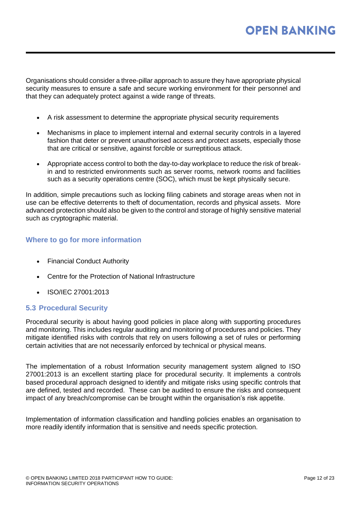Organisations should consider a three-pillar approach to assure they have appropriate physical security measures to ensure a safe and secure working environment for their personnel and that they can adequately protect against a wide range of threats.

- A risk assessment to determine the appropriate physical security requirements
- Mechanisms in place to implement internal and external security controls in a layered fashion that deter or prevent unauthorised access and protect assets, especially those that are critical or sensitive, against forcible or surreptitious attack.
- Appropriate access control to both the day-to-day workplace to reduce the risk of breakin and to restricted environments such as server rooms, network rooms and facilities such as a security operations centre (SOC), which must be kept physically secure.

In addition, simple precautions such as locking filing cabinets and storage areas when not in use can be effective deterrents to theft of documentation, records and physical assets. More advanced protection should also be given to the control and storage of highly sensitive material such as cryptographic material.

#### **Where to go for more information**

- [Financial Conduct Authority](https://www.handbook.fca.org.uk/handbook/document/fc/FC1_FCA_20160307.pdf)
- [Centre for the Protection of National Infrastructure](https://www.cpni.gov.uk/physical-security)
- [ISO/IEC 27001:2013](https://www.iso.org/obp/ui/#iso:std:iso-iec:27001:ed-2:v1:en)

#### <span id="page-11-0"></span>**5.3 Procedural Security**

Procedural security is about having good policies in place along with supporting procedures and monitoring. This includes regular auditing and monitoring of procedures and policies. They mitigate identified risks with controls that rely on users following a set of rules or performing certain activities that are not necessarily enforced by technical or physical means.

The implementation of a robust Information security management system aligned to ISO 27001:2013 is an excellent starting place for procedural security. It implements a controls based procedural approach designed to identify and mitigate risks using specific controls that are defined, tested and recorded. These can be audited to ensure the risks and consequent impact of any breach/compromise can be brought within the organisation's risk appetite.

Implementation of information classification and handling policies enables an organisation to more readily identify information that is sensitive and needs specific protection.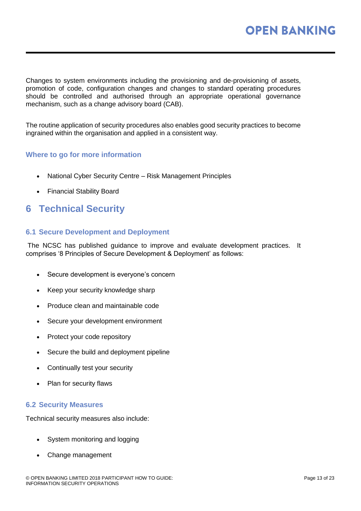Changes to system environments including the provisioning and de-provisioning of assets, promotion of code, configuration changes and changes to standard operating procedures should be controlled and authorised through an appropriate operational governance mechanism, such as a change advisory board (CAB).

The routine application of security procedures also enables good security practices to become ingrained within the organisation and applied in a consistent way.

#### **Where to go for more information**

- [National Cyber Security Centre –](https://www.ncsc.gov.uk/guidance/risk-management-principles) Risk Management Principles
- [Financial Stability Board](http://www.fsb.org/wp-content/uploads/r_131118.pdf)

## <span id="page-12-0"></span>**6 Technical Security**

#### <span id="page-12-1"></span>**6.1 Secure Development and Deployment**

The NCSC has published [guidance](https://www.ncsc.gov.uk/guidance/secure-development-and-deployment) to improve and evaluate development practices. It comprises '8 Principles of Secure Development & Deployment' as follows:

- Secure development is everyone's concern
- Keep your security knowledge sharp
- Produce clean and maintainable code
- Secure your development environment
- Protect your code repository
- Secure the build and deployment pipeline
- Continually test your security
- Plan for security flaws

#### <span id="page-12-2"></span>**6.2 Security Measures**

Technical security measures also include:

- System monitoring and logging
- Change management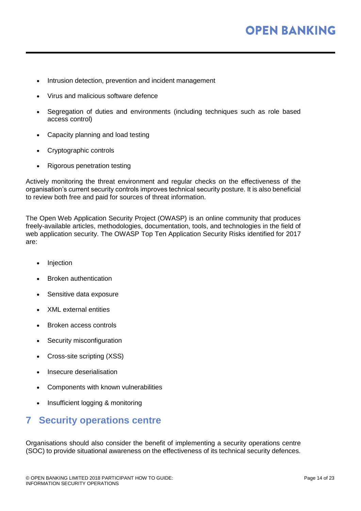- Intrusion detection, prevention and incident management
- Virus and malicious software defence
- Segregation of duties and environments (including techniques such as role based access control)
- Capacity planning and load testing
- Cryptographic controls
- Rigorous penetration testing

Actively monitoring the threat environment and regular checks on the effectiveness of the organisation's current security controls improves technical security posture. It is also beneficial to review both free and paid for sources of threat information.

The Open Web Application Security Project (OWASP) is an online community that produces freely-available articles, methodologies, documentation, tools, and technologies in the field of web application security. The OWASP [Top Ten Application Security Risks](https://www.owasp.org/index.php/Top_10-2017_Top_10) identified for 2017 are:

- **Injection**
- Broken authentication
- Sensitive data exposure
- XML external entities
- Broken access controls
- Security misconfiguration
- Cross-site scripting (XSS)
- Insecure deserialisation
- Components with known vulnerabilities
- Insufficient logging & monitoring

## <span id="page-13-0"></span>**7 Security operations centre**

Organisations should also consider the benefit of implementing a security operations centre (SOC) to provide situational awareness on the effectiveness of its technical security defences.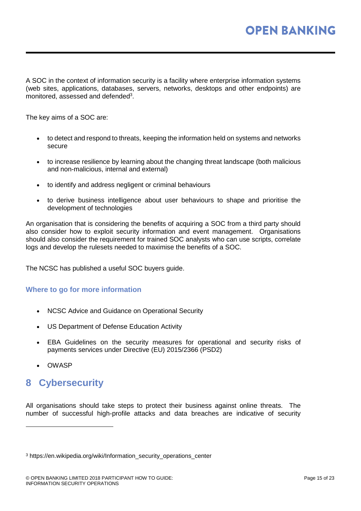A SOC in the context of information security is a facility where enterprise information systems (web sites, applications, databases, servers, networks, desktops and other endpoints) are monitored, assessed and defended $3$ .

The key aims of a SOC are:

- to detect and respond to threats, keeping the information held on systems and networks secure
- to increase resilience by learning about the changing threat landscape (both malicious and non-malicious, internal and external)
- to identify and address negligent or criminal behaviours
- to derive business intelligence about user behaviours to shape and prioritise the development of technologies

An organisation that is considering the benefits of acquiring a SOC from a third party should also consider how to exploit security information and event management. Organisations should also consider the requirement for trained SOC analysts who can use scripts, correlate logs and develop the rulesets needed to maximise the benefits of a SOC.

The NCSC has published a useful SOC [buyers guide.](https://www.ncsc.gov.uk/guidance/security-operations-centre-soc-buyers-guide)

#### **Where to go for more information**

- [NCSC Advice and Guidance on Operational Security](https://www.ncsc.gov.uk/topics/operational-security)
- [US Department of Defense Education Activity](http://www.dodea.edu/offices/safety/opsec.cfm)
- [EBA Guidelines on the security measures for operational and security risks of](https://www.eba.europa.eu/documents/10180/2060117/Final+report+on+EBA+Guidelines+on+the+security+measures+for+operational+and+security+risks+under+PSD2+%28EBA-GL-2017-17%29.pdf)  [payments services under Directive \(EU\) 2015/2366 \(PSD2\)](https://www.eba.europa.eu/documents/10180/2060117/Final+report+on+EBA+Guidelines+on+the+security+measures+for+operational+and+security+risks+under+PSD2+%28EBA-GL-2017-17%29.pdf)
- [OWASP](https://www.owasp.org/index.php/Top_10-2017_Top_10)

l

## <span id="page-14-0"></span>**8 Cybersecurity**

All organisations should take steps to protect their business against online threats. The number of successful high-profile attacks and data breaches are indicative of security

<sup>&</sup>lt;sup>3</sup> https://en.wikipedia.org/wiki/Information\_security\_operations\_center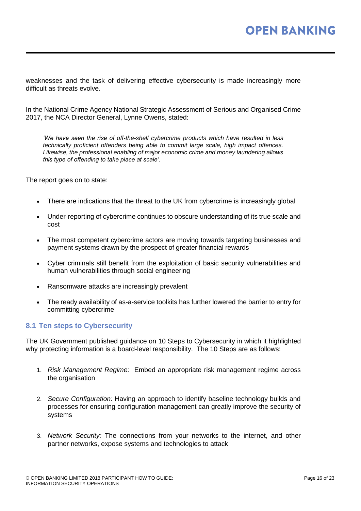weaknesses and the task of delivering effective cybersecurity is made increasingly more difficult as threats evolve.

In the National Crime Agency National Strategic Assessment of Serious and Organised Crime 2017, the NCA Director General, Lynne Owens, stated:

*'We have seen the rise of off-the-shelf cybercrime products which have resulted in less technically proficient offenders being able to commit large scale, high impact offences. Likewise, the professional enabling of major economic crime and money laundering allows this type of offending to take place at scale'.*

The report goes on to state:

- There are indications that the threat to the UK from cybercrime is increasingly global
- Under-reporting of cybercrime continues to obscure understanding of its true scale and cost
- The most competent cybercrime actors are moving towards targeting businesses and payment systems drawn by the prospect of greater financial rewards
- Cyber criminals still benefit from the exploitation of basic security vulnerabilities and human vulnerabilities through social engineering
- Ransomware attacks are increasingly prevalent
- The ready availability of as-a-service toolkits has further lowered the barrier to entry for committing cybercrime

#### <span id="page-15-0"></span>**8.1 Ten steps to Cybersecurity**

The UK Government published guidance on [10 Steps to Cybersecurity](https://www.ncsc.gov.uk/guidance/10-steps-cyber-security) in which it highlighted why protecting information is a board-level responsibility. The 10 Steps are as follows:

- 1. *Risk Management Regime:* Embed an appropriate risk management regime across the organisation
- 2. *Secure Configuration:* Having an approach to identify baseline technology builds and processes for ensuring configuration management can greatly improve the security of systems
- 3. *Network Security:* The connections from your networks to the internet, and other partner networks, expose systems and technologies to attack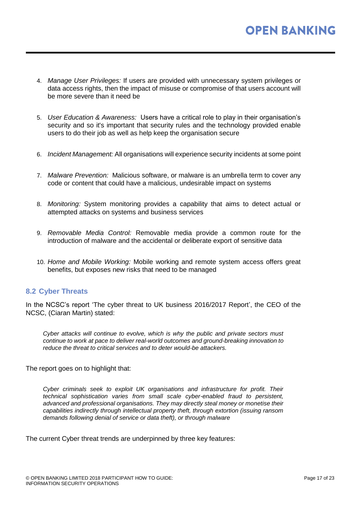- 4. *Manage User Privileges:* If users are provided with unnecessary system privileges or data access rights, then the impact of misuse or compromise of that users account will be more severe than it need be
- 5. *User Education & Awareness:* Users have a critical role to play in their organisation's security and so it's important that security rules and the technology provided enable users to do their job as well as help keep the organisation secure
- 6. *Incident Management:* All organisations will experience security incidents at some point
- 7. *Malware Prevention:* Malicious software, or malware is an umbrella term to cover any code or content that could have a malicious, undesirable impact on systems
- 8. *Monitoring:* System monitoring provides a capability that aims to detect actual or attempted attacks on systems and business services
- 9. *Removable Media Control:* Removable media provide a common route for the introduction of malware and the accidental or deliberate export of sensitive data
- 10. *Home and Mobile Working:* Mobile working and remote system access offers great benefits, but exposes new risks that need to be managed

#### <span id="page-16-0"></span>**8.2 Cyber Threats**

In the NCSC's report ['The cyber threat to UK business 2016/2017 Report'](https://www.ncsc.gov.uk/content/files/protected_files/news_files/The%20Cyber%20Threat%20to%20UK%20Business%20%28b%29.pdf), the CEO of the NCSC, (Ciaran Martin) stated:

*Cyber attacks will continue to evolve, which is why the public and private sectors must continue to work at pace to deliver real-world outcomes and ground-breaking innovation to reduce the threat to critical services and to deter would-be attackers.*

The report goes on to highlight that:

*Cyber criminals seek to exploit UK organisations and infrastructure for profit. Their technical sophistication varies from small scale cyber-enabled fraud to persistent, advanced and professional organisations. They may directly steal money or monetise their capabilities indirectly through intellectual property theft, through extortion (issuing ransom demands following denial of service or data theft), or through malware*

The current Cyber threat trends are underpinned by three key features: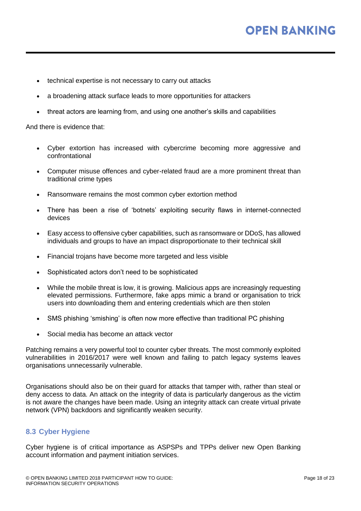# **OPEN BANKING**

- technical expertise is not necessary to carry out attacks
- a broadening attack surface leads to more opportunities for attackers
- threat actors are learning from, and using one another's skills and capabilities

And there is evidence that:

- Cyber extortion has increased with cybercrime becoming more aggressive and confrontational
- Computer misuse offences and cyber-related fraud are a more prominent threat than traditional crime types
- Ransomware remains the most common cyber extortion method
- There has been a rise of 'botnets' exploiting security flaws in internet-connected devices
- Easy access to offensive cyber capabilities, such as ransomware or DDoS, has allowed individuals and groups to have an impact disproportionate to their technical skill
- Financial trojans have become more targeted and less visible
- Sophisticated actors don't need to be sophisticated
- While the mobile threat is low, it is growing. Malicious apps are increasingly requesting elevated permissions. Furthermore, fake apps mimic a brand or organisation to trick users into downloading them and entering credentials which are then stolen
- SMS phishing 'smishing' is often now more effective than traditional PC phishing
- Social media has become an attack vector

Patching remains a very powerful tool to counter cyber threats. The most commonly exploited vulnerabilities in 2016/2017 were well known and failing to patch legacy systems leaves organisations unnecessarily vulnerable.

Organisations should also be on their guard for attacks that tamper with, rather than steal or deny access to data. An attack on the integrity of data is particularly dangerous as the victim is not aware the changes have been made. Using an integrity attack can create virtual private network (VPN) backdoors and significantly weaken security.

#### <span id="page-17-0"></span>**8.3 Cyber Hygiene**

Cyber hygiene is of critical importance as ASPSPs and TPPs deliver new Open Banking account information and payment initiation services.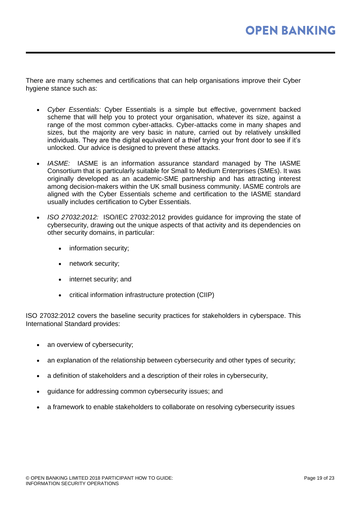There are many schemes and certifications that can help organisations improve their Cyber hygiene stance such as:

- *Cyber Essentials:* Cyber Essentials is a simple but effective, government backed scheme that will help you to protect your organisation, whatever its size, against a range of the most common cyber-attacks. Cyber-attacks come in many shapes and sizes, but the majority are very basic in nature, carried out by relatively unskilled individuals. They are the digital equivalent of a thief trying your front door to see if it's unlocked. Our advice is designed to prevent these attacks.
- *IASME:* IASME is an information assurance standard managed by The IASME Consortium that is particularly suitable for Small to Medium Enterprises (SMEs). It was originally developed as an academic-SME partnership and has attracting interest among decision-makers within the UK small business community. IASME controls are aligned with the Cyber Essentials scheme and certification to the IASME standard usually includes certification to Cyber Essentials.
- *ISO 27032:2012:* ISO/IEC 27032:2012 provides guidance for improving the state of cybersecurity, drawing out the unique aspects of that activity and its dependencies on other security domains, in particular:
	- information security;
	- network security;
	- internet security; and
	- critical information infrastructure protection (CIIP)

ISO 27032:2012 covers the baseline security practices for stakeholders in cyberspace. This International Standard provides:

- an overview of cybersecurity;
- an explanation of the relationship between cybersecurity and other types of security;
- a definition of stakeholders and a description of their roles in cybersecurity,
- guidance for addressing common cybersecurity issues; and
- a framework to enable stakeholders to collaborate on resolving cybersecurity issues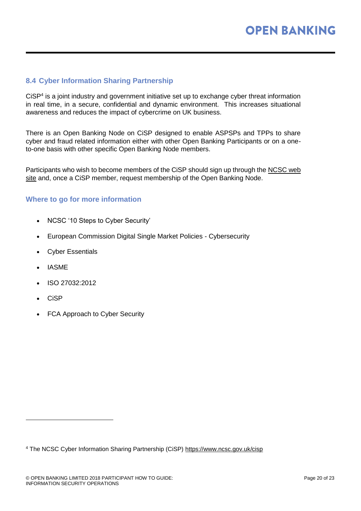#### <span id="page-19-0"></span>**8.4 Cyber Information Sharing Partnership**

CiSP<sup>4</sup> is a joint industry and government initiative set up to exchange cyber threat information in real time, in a secure, confidential and dynamic environment. This increases situational awareness and reduces the impact of cybercrime on UK business.

There is an Open Banking Node on CiSP designed to enable ASPSPs and TPPs to share cyber and fraud related information either with other Open Banking Participants or on a oneto-one basis with other specific Open Banking Node members.

Participants who wish to become members of the CiSP should sign up through the [NCSC web](https://www.ncsc.gov.uk/cisp)  [site](https://www.ncsc.gov.uk/cisp) and, once a CiSP member, request membership of the Open Banking Node.

#### **Where to go for more information**

- [NCSC '10 Steps to Cyber Security'](https://www.ncsc.gov.uk/guidance/10-steps-cyber-security)
- [European Commission Digital Single Market Policies -](https://ec.europa.eu/digital-single-market/en/policies/cybersecurity) Cybersecurity
- **[Cyber Essentials](https://www.cyberessentials.ncsc.gov.uk/about.html)**
- **[IASME](https://www.iasme.co.uk/)**
- [ISO 27032:2012](https://www.iso.org/standard/44375.html)
- [CiSP](https://www.ncsc.gov.uk/cisp)

l

• [FCA Approach to Cyber Security](https://www.fca.org.uk/news/speeches/our-approach-cyber-security-financial-services-firms)

<sup>4</sup> The NCSC Cyber Information Sharing Partnership (CiSP)<https://www.ncsc.gov.uk/cisp>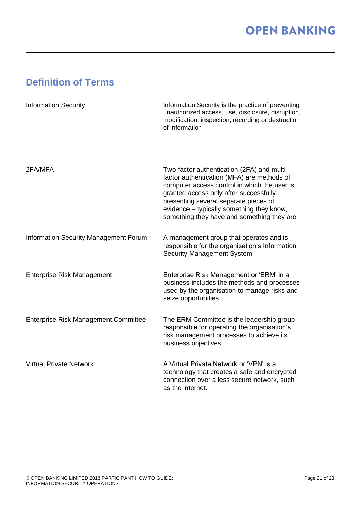# <span id="page-20-0"></span>**Definition of Terms**

| <b>Information Security</b>                  | Information Security is the practice of preventing<br>unauthorized access, use, disclosure, disruption,<br>modification, inspection, recording or destruction<br>of information                                                                                                                                        |
|----------------------------------------------|------------------------------------------------------------------------------------------------------------------------------------------------------------------------------------------------------------------------------------------------------------------------------------------------------------------------|
| 2FA/MFA                                      | Two-factor authentication (2FA) and multi-<br>factor authentication (MFA) are methods of<br>computer access control in which the user is<br>granted access only after successfully<br>presenting several separate pieces of<br>evidence - typically something they know,<br>something they have and something they are |
| <b>Information Security Management Forum</b> | A management group that operates and is<br>responsible for the organisation's Information<br><b>Security Management System</b>                                                                                                                                                                                         |
| <b>Enterprise Risk Management</b>            | Enterprise Risk Management or 'ERM' in a<br>business includes the methods and processes<br>used by the organisation to manage risks and<br>seize opportunities                                                                                                                                                         |
| <b>Enterprise Risk Management Committee</b>  | The ERM Committee is the leadership group<br>responsible for operating the organisation's<br>risk management processes to achieve its<br>business objectives                                                                                                                                                           |
| <b>Virtual Private Network</b>               | A Virtual Private Network or 'VPN' is a<br>technology that creates a safe and encrypted<br>connection over a less secure network, such<br>as the internet.                                                                                                                                                             |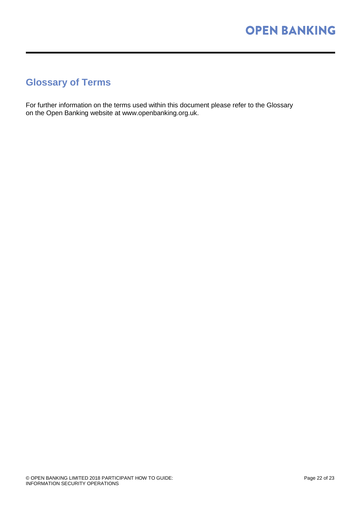## <span id="page-21-0"></span>**Glossary of Terms**

For further information on the terms used within this document please refer to the Glossary on the Open Banking website at www.openbanking.org.uk.